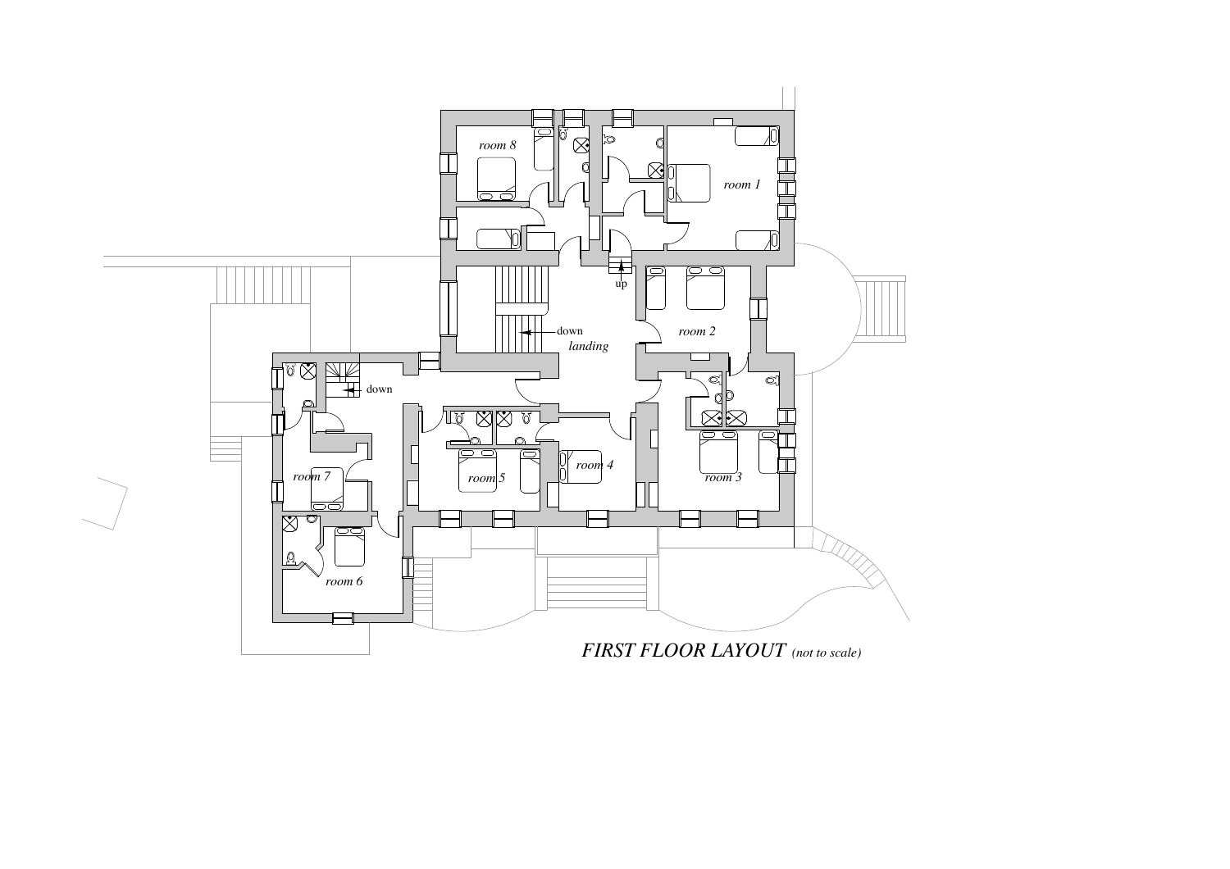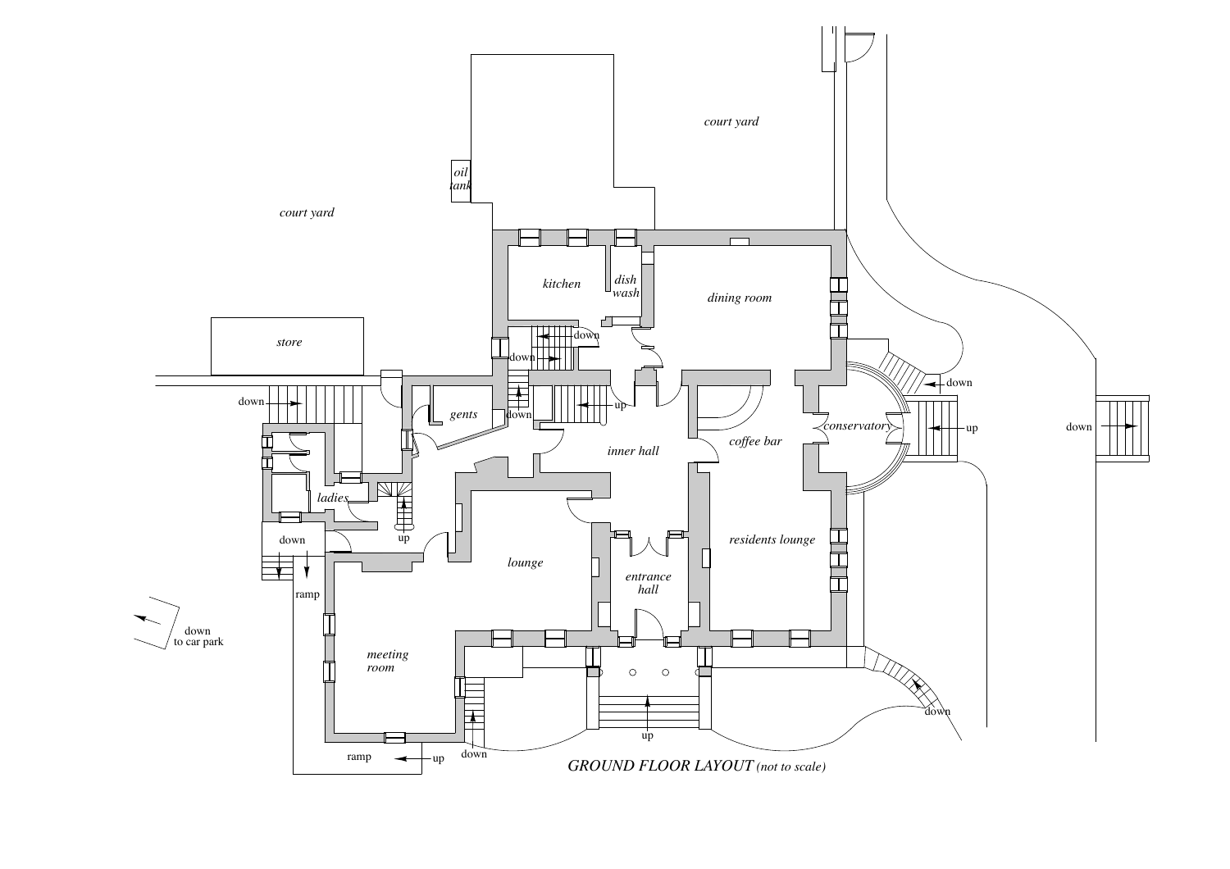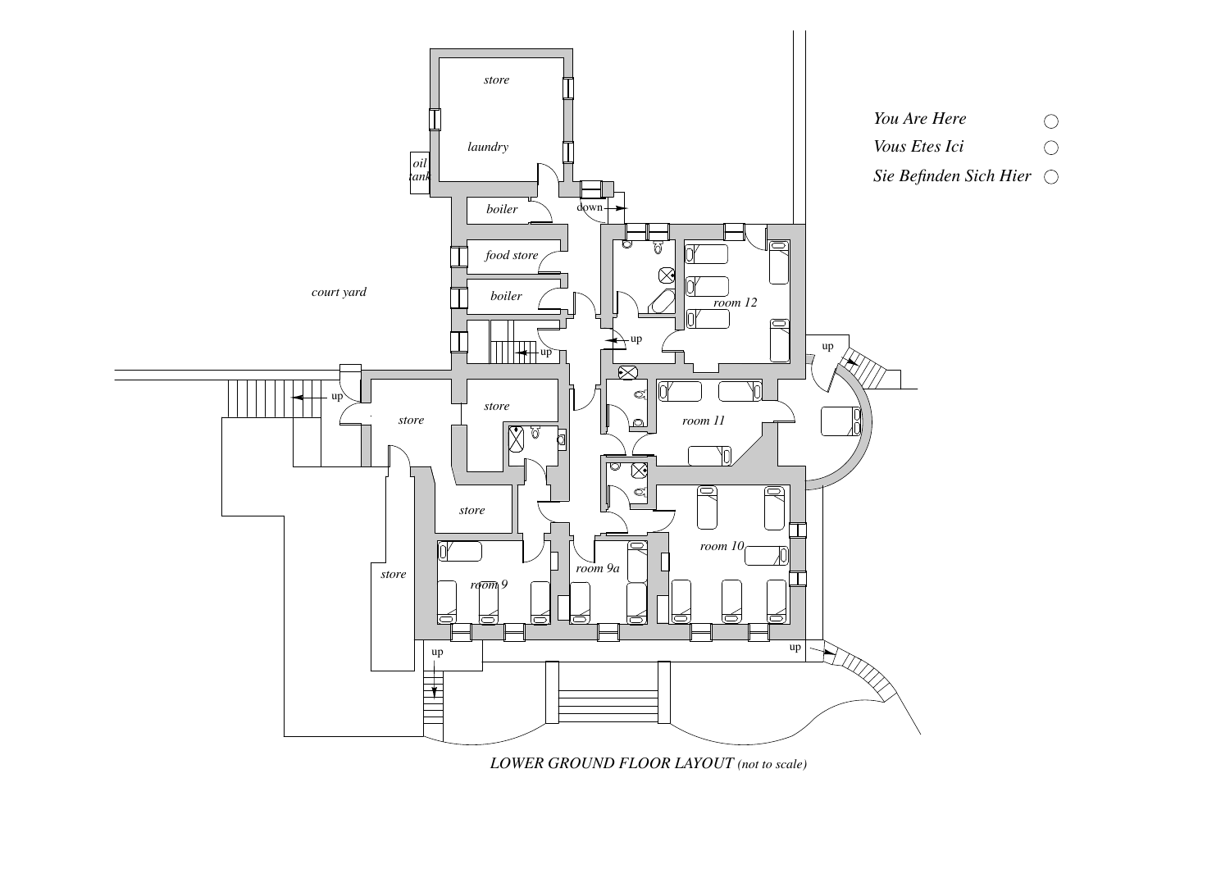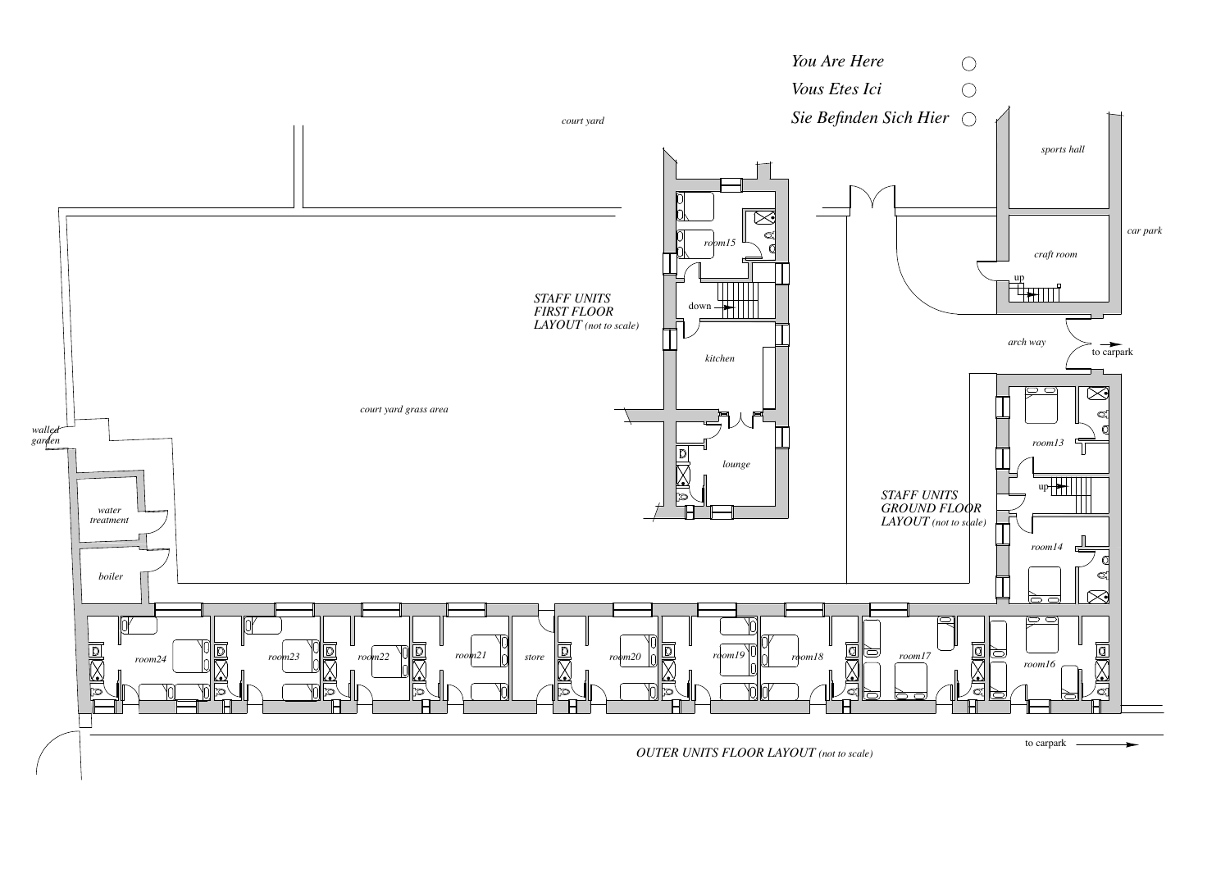